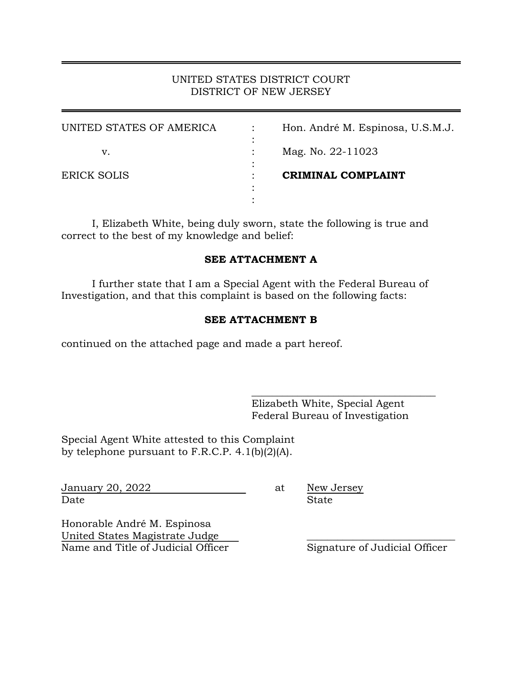# UNITED STATES DISTRICT COURT DISTRICT OF NEW JERSEY

| UNITED STATES OF AMERICA | $\bullet$ | Hon. André M. Espinosa, U.S.M.J. |
|--------------------------|-----------|----------------------------------|
| v.                       |           | Mag. No. 22-11023                |
| <b>ERICK SOLIS</b>       |           | <b>CRIMINAL COMPLAINT</b>        |
|                          |           |                                  |
|                          |           |                                  |

I, Elizabeth White, being duly sworn, state the following is true and correct to the best of my knowledge and belief:

# **SEE ATTACHMENT A**

I further state that I am a Special Agent with the Federal Bureau of Investigation, and that this complaint is based on the following facts:

### **SEE ATTACHMENT B**

continued on the attached page and made a part hereof.

Elizabeth White, Special Agent Federal Bureau of Investigation

\_\_\_\_\_\_\_\_\_\_\_\_\_\_\_\_\_\_\_\_\_\_\_\_\_\_\_\_\_\_\_\_\_\_\_\_

Special Agent White attested to this Complaint by telephone pursuant to F.R.C.P. 4.1(b)(2)(A).

January 20, 2022 at New Jersey Date State State State State State State State State State State State State State State State State State State State  $S_t$ 

Honorable André M. Espinosa United States Magistrate Judge \_\_\_\_\_\_\_\_\_\_\_\_\_\_\_\_\_\_\_\_\_\_\_\_\_\_\_\_\_ Name and Title of Judicial Officer Signature of Judicial Officer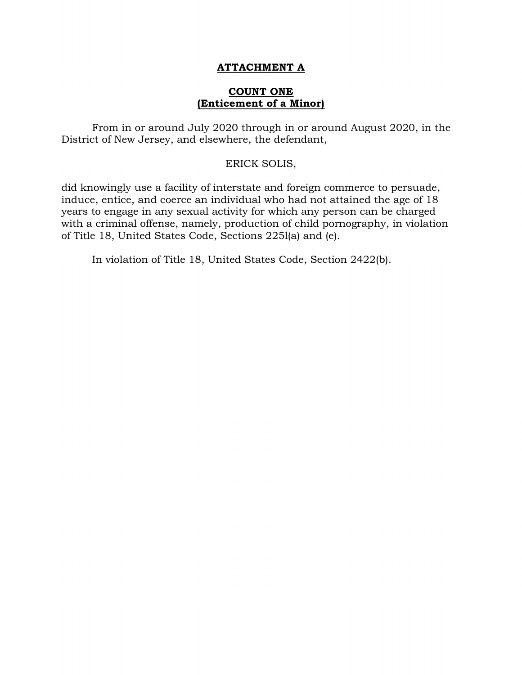# **ATTACHMENT A**

## **COUNT ONE (Enticement of a Minor)**

From in or around July 2020 through in or around August 2020, in the District of New Jersey, and elsewhere, the defendant,

#### ERICK SOLIS,

did knowingly use a facility of interstate and foreign commerce to persuade, induce, entice, and coerce an individual who had not attained the age of 18 years to engage in any sexual activity for which any person can be charged with a criminal offense, namely, production of child pornography, in violation of Title 18, United States Code, Sections 225l(a) and (e).

In violation of Title 18, United States Code, Section 2422(b).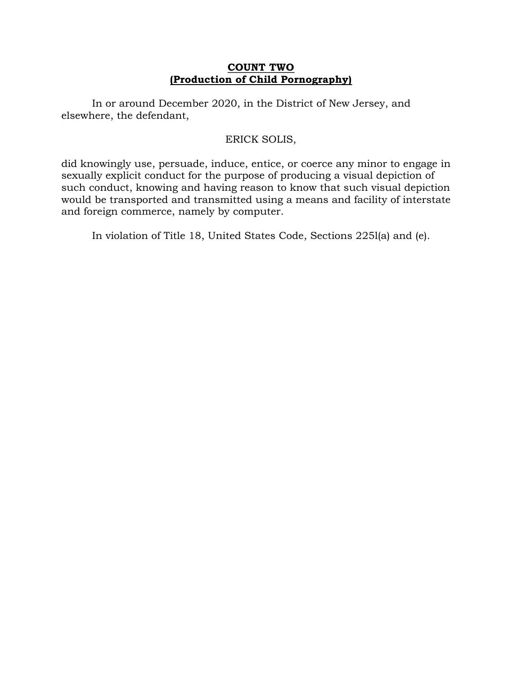# **COUNT TWO (Production of Child Pornography)**

In or around December 2020, in the District of New Jersey, and elsewhere, the defendant,

# ERICK SOLIS,

did knowingly use, persuade, induce, entice, or coerce any minor to engage in sexually explicit conduct for the purpose of producing a visual depiction of such conduct, knowing and having reason to know that such visual depiction would be transported and transmitted using a means and facility of interstate and foreign commerce, namely by computer.

In violation of Title 18, United States Code, Sections 225l(a) and (e).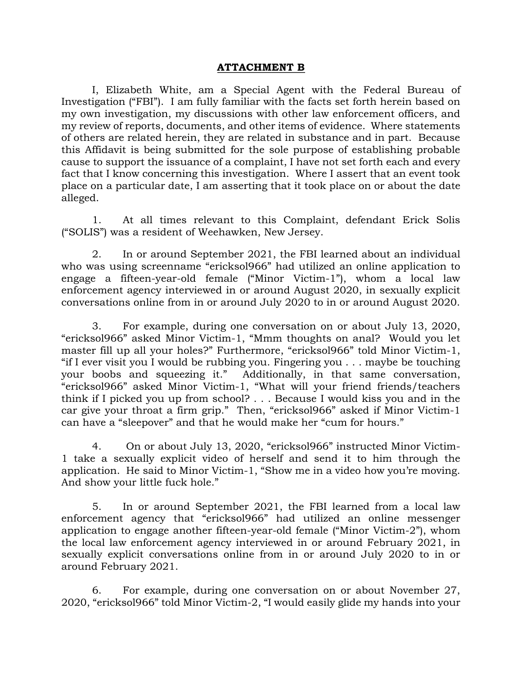### **ATTACHMENT B**

I, Elizabeth White, am a Special Agent with the Federal Bureau of Investigation ("FBI"). I am fully familiar with the facts set forth herein based on my own investigation, my discussions with other law enforcement officers, and my review of reports, documents, and other items of evidence. Where statements of others are related herein, they are related in substance and in part. Because this Affidavit is being submitted for the sole purpose of establishing probable cause to support the issuance of a complaint, I have not set forth each and every fact that I know concerning this investigation. Where I assert that an event took place on a particular date, I am asserting that it took place on or about the date alleged.

1. At all times relevant to this Complaint, defendant Erick Solis ("SOLIS") was a resident of Weehawken, New Jersey.

2. In or around September 2021, the FBI learned about an individual who was using screenname "ericksol966" had utilized an online application to engage a fifteen-year-old female ("Minor Victim-1"), whom a local law enforcement agency interviewed in or around August 2020, in sexually explicit conversations online from in or around July 2020 to in or around August 2020.

3. For example, during one conversation on or about July 13, 2020, "ericksol966" asked Minor Victim-1, "Mmm thoughts on anal? Would you let master fill up all your holes?" Furthermore, "ericksol966" told Minor Victim-1, "if I ever visit you I would be rubbing you. Fingering you . . . maybe be touching your boobs and squeezing it." Additionally, in that same conversation, "ericksol966" asked Minor Victim-1, "What will your friend friends/teachers think if I picked you up from school? . . . Because I would kiss you and in the car give your throat a firm grip." Then, "ericksol966" asked if Minor Victim-1 can have a "sleepover" and that he would make her "cum for hours."

4. On or about July 13, 2020, "ericksol966" instructed Minor Victim-1 take a sexually explicit video of herself and send it to him through the application. He said to Minor Victim-1, "Show me in a video how you're moving. And show your little fuck hole."

5. In or around September 2021, the FBI learned from a local law enforcement agency that "ericksol966" had utilized an online messenger application to engage another fifteen-year-old female ("Minor Victim-2"), whom the local law enforcement agency interviewed in or around February 2021, in sexually explicit conversations online from in or around July 2020 to in or around February 2021.

6. For example, during one conversation on or about November 27, 2020, "ericksol966" told Minor Victim-2, "I would easily glide my hands into your